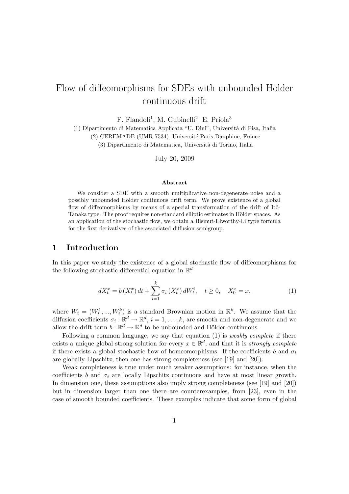# Flow of diffeomorphisms for SDEs with unbounded Hölder continuous drift

 $F.$  Flandoli<sup>1</sup>, M. Gubinelli<sup>2</sup>, E. Priola<sup>3</sup>

(1) Dipartimento di Matematica Applicata "U. Dini", Universit`a di Pisa, Italia (2) CEREMADE (UMR 7534), Université Paris Dauphine, France (3) Dipartimento di Matematica, Universit`a di Torino, Italia

July 20, 2009

#### Abstract

We consider a SDE with a smooth multiplicative non-degenerate noise and a possibly unbounded Hölder continuous drift term. We prove existence of a global flow of diffeomorphisms by means of a special transformation of the drift of Itô-Tanaka type. The proof requires non-standard elliptic estimates in Hölder spaces. As an application of the stochastic flow, we obtain a Bismut-Elworthy-Li type formula for the first derivatives of the associated diffusion semigroup.

## 1 Introduction

In this paper we study the existence of a global stochastic flow of diffeomorphisms for the following stochastic differential equation in  $\mathbb{R}^d$ 

$$
dX_t^x = b(X_t^x) dt + \sum_{i=1}^k \sigma_i(X_t^x) dW_t^i, \quad t \ge 0, \quad X_0^x = x,
$$
 (1)

where  $W_t = (W_t^1, ..., W_t^k)$  is a standard Brownian motion in  $\mathbb{R}^k$ . We assume that the diffusion coefficients  $\sigma_i : \mathbb{R}^d \to \mathbb{R}^d$ ,  $i = 1, \ldots, k$ , are smooth and non-degenerate and we allow the drift term  $b : \mathbb{R}^d \to \mathbb{R}^d$  to be unbounded and Hölder continuous.

Following a common language, we say that equation  $(1)$  is *weakly complete* if there exists a unique global strong solution for every  $x \in \mathbb{R}^d$ , and that it is *strongly complete* if there exists a global stochastic flow of homeomorphisms. If the coefficients b and  $\sigma_i$ are globally Lipschitz, then one has strong completeness (see [19] and [20]).

Weak completeness is true under much weaker assumptions: for instance, when the coefficients b and  $\sigma_i$  are locally Lipschitz continuous and have at most linear growth. In dimension one, these assumptions also imply strong completeness (see [19] and [20]) but in dimension larger than one there are counterexamples, from [23], even in the case of smooth bounded coefficients. These examples indicate that some form of global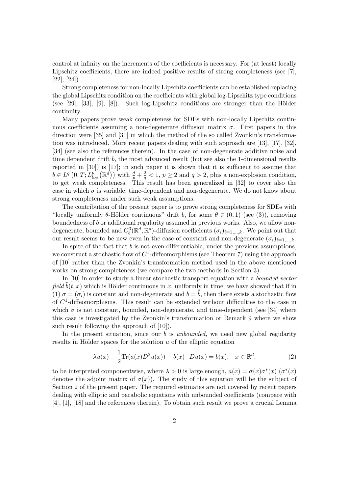control at infinity on the increments of the coefficients is necessary. For (at least) locally Lipschitz coefficients, there are indeed positive results of strong completeness (see [7],  $[22]$ ,  $[24]$ ).

Strong completeness for non-locally Lipschitz coefficients can be established replacing the global Lipschitz condition on the coefficients with global log-Lipschitz type conditions (see [29], [33], [9], [8]). Such log-Lipschitz conditions are stronger than the Hölder continuity.

Many papers prove weak completeness for SDEs with non-locally Lipschitz continuous coefficients assuming a non-degenerate diffusion matrix  $\sigma$ . First papers in this direction were [35] and [31] in which the method of the so called Zvonkin's transformation was introduced. More recent papers dealing with such approach are [13], [17], [32], [34] (see also the references therein). In the case of non-degenerate additive noise and time dependent drift b, the most advanced result (but see also the 1-dimensional results reported in [30]) is [17]; in such paper it is shown that it is sufficient to assume that  $b \in L^q(0,T; L^{p}_{loc}(\mathbb{R}^d))$  with  $\frac{d}{p} + \frac{2}{q} < 1, p \ge 2$  and  $q > 2$ , plus a non-explosion condition, to get weak completeness. This result has been generalized in [32] to cover also the case in which  $\sigma$  is variable, time-dependent and non-degenerate. We do not know about strong completeness under such weak assumptions.

The contribution of the present paper is to prove strong completeness for SDEs with "locally uniformly  $\theta$ -Hölder continuous" drift b, for some  $\theta \in (0,1)$  (see (3)), removing boundedness of b or additional regularity assumed in previous works. Also, we allow nondegenerate, bounded and  $C_b^3(\mathbb{R}^d, \mathbb{R}^d)$ -diffusion coefficients  $(\sigma_i)_{i=1,\dots,k}$ . We point out that our result seems to be new even in the case of constant and non-degenerate  $(\sigma_i)_{i=1,\dots,k}$ .

In spite of the fact that  $b$  is not even differentiable, under the previous assumptions, we construct a stochastic flow of  $C^1$ -diffeomorphisms (see Theorem 7) using the approach of [10] rather than the Zvonkin's transformation method used in the above mentioned works on strong completeness (we compare the two methods in Section 3).

In [10] in order to study a linear stochastic transport equation with a bounded vector field  $b(t, x)$  which is Hölder continuous in x, uniformly in time, we have showed that if in (1)  $\sigma = (\sigma_i)$  is constant and non-degenerate and  $b = \tilde{b}$ , then there exists a stochastic flow of  $C<sup>1</sup>$ -diffeomorphisms. This result can be extended without difficulties to the case in which  $\sigma$  is not constant, bounded, non-degenerate, and time-dependent (see [34] where this case is investigated by the Zvonkin's transformation or Remark 9 where we show such result following the approach of [10]).

In the present situation, since our  $b$  is *unbounded*, we need new global regularity results in Hölder spaces for the solution  $u$  of the elliptic equation

$$
\lambda u(x) - \frac{1}{2} \text{Tr}(a(x)D^2 u(x)) - b(x) \cdot Du(x) = b(x), \quad x \in \mathbb{R}^d,
$$
 (2)

to be interpreted componentwise, where  $\lambda > 0$  is large enough,  $a(x) = \sigma(x)\sigma^*(x)$  ( $\sigma^*(x)$ ) denotes the adjoint matrix of  $\sigma(x)$ ). The study of this equation will be the subject of Section 2 of the present paper. The required estimates are not covered by recent papers dealing with elliptic and parabolic equations with unbounded coefficients (compare with [4], [1], [18] and the references therein). To obtain such result we prove a crucial Lemma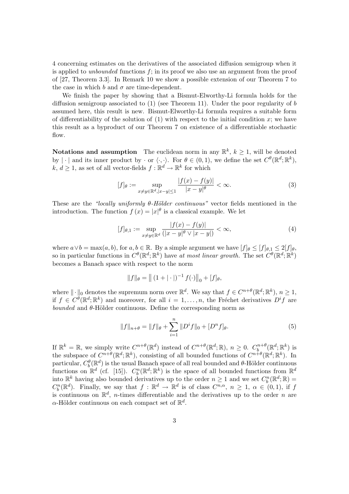4 concerning estimates on the derivatives of the associated diffusion semigroup when it is applied to *unbounded* functions  $f$ ; in its proof we also use an argument from the proof of [27, Theorem 3.3]. In Remark 10 we show a possible extension of our Theorem 7 to the case in which b and  $\sigma$  are time-dependent.

We finish the paper by showing that a Bismut-Elworthy-Li formula holds for the diffusion semigroup associated to  $(1)$  (see Theorem 11). Under the poor regularity of b assumed here, this result is new. Bismut-Elworthy-Li formula requires a suitable form of differentiability of the solution of  $(1)$  with respect to the initial condition x; we have this result as a byproduct of our Theorem 7 on existence of a differentiable stochastic flow.

**Notations and assumption** The euclidean norm in any  $\mathbb{R}^k$ ,  $k \geq 1$ , will be denoted by  $|\cdot|$  and its inner product by  $\cdot$  or  $\langle \cdot, \cdot \rangle$ . For  $\theta \in (0, 1)$ , we define the set  $C^{\theta}(\mathbb{R}^d; \mathbb{R}^k)$ ,  $k, d \geq 1$ , as set of all vector-fields  $f : \mathbb{R}^d \to \mathbb{R}^k$  for which

$$
[f]_{\theta} := \sup_{x \neq y \in \mathbb{R}^d, |x - y| \le 1} \frac{|f(x) - f(y)|}{|x - y|^{\theta}} < \infty.
$$
 (3)

These are the "locally uniformly  $\theta$ -Hölder continuous" vector fields mentioned in the introduction. The function  $f(x) = |x|^\theta$  is a classical example. We let

$$
[f]_{\theta,1} := \sup_{x \neq y \in \mathbb{R}^d} \frac{|f(x) - f(y)|}{(|x - y|^{\theta} \vee |x - y|)} < \infty,
$$
\n(4)

where  $a \vee b = \max(a, b)$ , for  $a, b \in \mathbb{R}$ . By a simple argument we have  $[f]_{\theta} \leq [f]_{\theta,1} \leq 2[f]_{\theta}$ , so in particular functions in  $C^{\theta}(\mathbb{R}^d;\mathbb{R}^k)$  have at most linear growth. The set  $C^{\theta}(\mathbb{R}^d;\mathbb{R}^k)$ becomes a Banach space with respect to the norm

$$
||f||_{\theta} = || (1 + |\cdot|)^{-1} f(\cdot) ||_0 + [f]_{\theta},
$$

where  $\|\cdot\|_0$  denotes the supremum norm over  $\mathbb{R}^d$ . We say that  $f \in C^{n+\theta}(\mathbb{R}^d; \mathbb{R}^k)$ ,  $n \geq 1$ , if  $f \in C^{\theta}(\mathbb{R}^d;\mathbb{R}^k)$  and moreover, for all  $i=1,\ldots,n$ , the Fréchet derivatives  $D^if$  are bounded and  $\theta$ -Hölder continuous. Define the corresponding norm as

$$
||f||_{n+\theta} = ||f||_{\theta} + \sum_{i=1}^{n} ||D^{i}f||_{0} + [D^{n}f]_{\theta}.
$$
\n(5)

If  $\mathbb{R}^k = \mathbb{R}$ , we simply write  $C^{n+\theta}(\mathbb{R}^d)$  instead of  $C^{n+\theta}(\mathbb{R}^d; \mathbb{R})$ ,  $n \geq 0$ .  $C_b^{n+\theta}$  $\mathbb{R}^{n+\theta}(\mathbb{R}^d;\mathbb{R}^k)$  is the subspace of  $C^{n+\theta}(\mathbb{R}^d;\mathbb{R}^k)$ , consisting of all bounded functions of  $C^{n+\theta}(\mathbb{R}^d;\mathbb{R}^k)$ . In particular,  $C_b^{\theta}(\mathbb{R}^d)$  is the usual Banach space of all real bounded and  $\theta$ -Hölder continuous functions on  $\mathbb{R}^d$  (cf. [15]).  $C_b^n(\mathbb{R}^d;\mathbb{R}^k)$  is the space of all bounded functions from  $\mathbb{R}^d$ into  $\mathbb{R}^k$  having also bounded derivatives up to the order  $n \geq 1$  and we set  $C_b^n(\mathbb{R}^d; \mathbb{R}) =$  $C_b^n(\mathbb{R}^d)$ . Finally, we say that  $f : \mathbb{R}^d \to \mathbb{R}^d$  is of class  $C^{n,\alpha}$ ,  $n \geq 1$ ,  $\alpha \in (0,1)$ , if f is continuous on  $\mathbb{R}^d$ , *n*-times differentiable and the derivatives up to the order *n* are  $\alpha$ -Hölder continuous on each compact set of  $\mathbb{R}^d$ .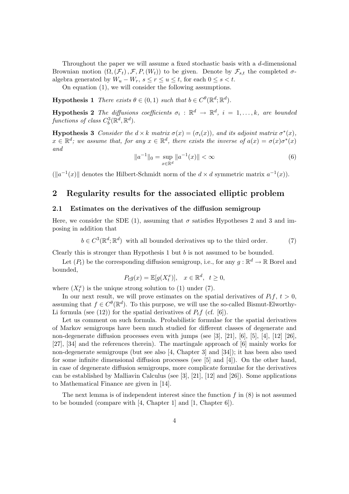Throughout the paper we will assume a fixed stochastic basis with a d-dimensional Brownian motion  $(\Omega, (\mathcal{F}_t), \mathcal{F}, P, (W_t))$  to be given. Denote by  $\mathcal{F}_{s,t}$  the completed  $\sigma$ algebra generated by  $W_u - W_r$ ,  $s \leq r \leq u \leq t$ , for each  $0 \leq s < t$ .

On equation (1), we will consider the following assumptions.

**Hypothesis 1** There exists  $\theta \in (0,1)$  such that  $b \in C^{\theta}(\mathbb{R}^d; \mathbb{R}^d)$ .

**Hypothesis 2** The diffusions coefficients  $\sigma_i : \mathbb{R}^d \to \mathbb{R}^d$ ,  $i = 1, ..., k$ , are bounded functions of class  $C_b^3(\mathbb{R}^d, \mathbb{R}^d)$ .

**Hypothesis 3** Consider the  $d \times k$  matrix  $\sigma(x) = (\sigma_i(x))$ , and its adjoint matrix  $\sigma^*(x)$ ,  $x \in \mathbb{R}^d$ ; we assume that, for any  $x \in \mathbb{R}^d$ , there exists the inverse of  $a(x) = \sigma(x)\sigma^*(x)$ and

$$
||a^{-1}||_0 = \sup_{x \in \mathbb{R}^d} ||a^{-1}(x)|| < \infty
$$
 (6)

 $(\Vert a^{-1}(x) \Vert$  denotes the Hilbert-Schmidt norm of the  $d \times d$  symmetric matrix  $a^{-1}(x)$ ).

## 2 Regularity results for the associated elliptic problem

#### 2.1 Estimates on the derivatives of the diffusion semigroup

Here, we consider the SDE (1), assuming that  $\sigma$  satisfies Hypotheses 2 and 3 and imposing in addition that

$$
b \in C^{3}(\mathbb{R}^{d}; \mathbb{R}^{d})
$$
 with all bounded derivatives up to the third order. (7)

Clearly this is stronger than Hypothesis  $1$  but  $b$  is not assumed to be bounded.

Let  $(P_t)$  be the corresponding diffusion semigroup, i.e., for any  $g : \mathbb{R}^d \to \mathbb{R}$  Borel and bounded,

$$
P_t g(x) = \mathbb{E}[g(X_t^x)], \quad x \in \mathbb{R}^d, \ t \ge 0,
$$

where  $(X_t^x)$  is the unique strong solution to (1) under (7).

In our next result, we will prove estimates on the spatial derivatives of  $P_t f$ ,  $t > 0$ , assuming that  $f \in C^{\theta}(\mathbb{R}^d)$ . To this purpose, we will use the so-called Bismut-Elworthy-Li formula (see (12)) for the spatial derivatives of  $P_t f$  (cf. [6]).

Let us comment on such formula. Probabilistic formulae for the spatial derivatives of Markov semigroups have been much studied for different classes of degenerate and non-degenerate diffusion processes even with jumps (see [3], [21], [6], [5], [4], [12] [26], [27], [34] and the references therein). The martingale approach of [6] mainly works for non-degenerate semigroups (but see also [4, Chapter 3] and [34]); it has been also used for some infinite dimensional diffusion processes (see [5] and [4]). On the other hand, in case of degenerate diffusion semigroups, more complicate formulae for the derivatives can be established by Malliavin Calculus (see [3], [21], [12] and [26]). Some applications to Mathematical Finance are given in [14].

The next lemma is of independent interest since the function  $f$  in  $(8)$  is not assumed to be bounded (compare with [4, Chapter 1] and [1, Chapter 6]).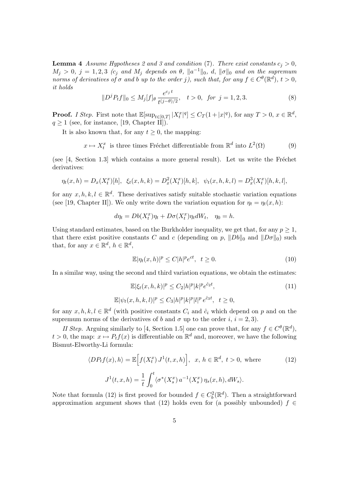**Lemma 4** Assume Hypotheses 2 and 3 and condition (7). There exist constants  $c_j > 0$ ,  $M_j > 0$ ,  $j = 1, 2, 3$  (c<sub>j</sub> and  $M_j$  depends on  $\theta$ ,  $||a^{-1}||_0$ , d,  $||\sigma||_0$  and on the supremum norms of derivatives of  $\sigma$  and  $b$  up to the order j), such that, for any  $f \in C^{\theta}(\mathbb{R}^d)$ ,  $t > 0$ , it holds

$$
||D^{j}P_{t}f||_{0} \le M_{j}[f]_{\theta} \frac{e^{c_{j}t}}{t^{(j-\theta)/2}}, \quad t > 0, \text{ for } j = 1, 2, 3.
$$
 (8)

**Proof.** I Step. First note that  $\mathbb{E}[\sup_{t \in [0,T]} |X_t^x|^q] \leq C_T(1+|x|^q)$ , for any  $T > 0$ ,  $x \in \mathbb{R}^d$ ,  $q \geq 1$  (see, for instance, [19, Chapter II]).

It is also known that, for any  $t \geq 0$ , the mapping:

 $x \mapsto X_t^x$  is three times Fréchet differentiable from  $\mathbb{R}^d$  into  $L^2(\Omega)$  (9)

(see  $[4, Section 1.3]$  which contains a more general result). Let us write the Fréchet derivatives:

$$
\eta_t(x,h) = D_x(X_t^x)[h], \ \xi_t(x,h,k) = D_x^2(X_t^x)[h,k], \ \psi_t(x,h,k,l) = D_x^3(X_t^x)[h,k,l],
$$

for any  $x, h, k, l \in \mathbb{R}^d$ . These derivatives satisfy suitable stochastic variation equations (see [19, Chapter II]). We only write down the variation equation for  $\eta_t = \eta_t(x, h)$ :

$$
d\eta_t = Db(X_t^x)\eta_t + D\sigma(X_t^x)\eta_t dW_t, \quad \eta_0 = h.
$$

Using standard estimates, based on the Burkholder inequality, we get that, for any  $p \geq 1$ , that there exist positive constants C and c (depending on p,  $||Db||_0$  and  $||D\sigma||_0$ ) such that, for any  $x \in \mathbb{R}^d$ ,  $h \in \mathbb{R}^d$ ,

$$
\mathbb{E}|\eta_t(x,h)|^p \le C|h|^p e^{ct}, \quad t \ge 0. \tag{10}
$$

In a similar way, using the second and third variation equations, we obtain the estimates:

$$
\mathbb{E}|\xi_t(x, h, k)|^p \le C_2|h|^p|k|^p e^{\hat{c}_2 t},
$$
  

$$
\mathbb{E}|\psi_t(x, h, k, l)|^p \le C_3|h|^p|k|^p|l|^p e^{\hat{c}_3 t}, \quad t \ge 0,
$$
 (11)

for any  $x, h, k, l \in \mathbb{R}^d$  (with positive constants  $C_i$  and  $\hat{c}_i$  which depend on p and on the supremum norms of the derivatives of b and  $\sigma$  up to the order i,  $i = 2, 3$ .

II Step. Arguing similarly to [4, Section 1.5] one can prove that, for any  $f \in C^{\theta}(\mathbb{R}^d)$ ,  $t > 0$ , the map:  $x \mapsto P_t f(x)$  is differentiable on  $\mathbb{R}^d$  and, moreover, we have the following Bismut-Elworthy-Li formula:

$$
\langle DP_t f(x), h \rangle = \mathbb{E}\Big[f(X_t^x) J^1(t, x, h)\Big], x, h \in \mathbb{R}^d, t > 0, \text{ where}
$$
  

$$
J^1(t, x, h) = \frac{1}{t} \int_0^t \langle \sigma^*(X_s^x) a^{-1}(X_s^x) \eta_s(x, h), dW_s \rangle.
$$
 (12)

Note that formula (12) is first proved for bounded  $f \in C_b^2(\mathbb{R}^d)$ . Then a straightforward approximation argument shows that (12) holds even for (a possibly unbounded)  $f \in$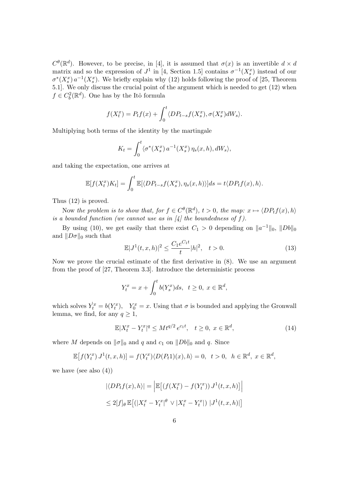$C^{\theta}(\mathbb{R}^d)$ . However, to be precise, in [4], it is assumed that  $\sigma(x)$  is an invertible  $d \times d$ matrix and so the expression of  $J^1$  in [4, Section 1.5] contains  $\sigma^{-1}(X_s^x)$  instead of our  $\sigma^*(X_s^x) a^{-1}(X_s^x)$ . We briefly explain why (12) holds following the proof of [25, Theorem 5.1]. We only discuss the crucial point of the argument which is needed to get (12) when  $f \in C_b^2(\mathbb{R}^d)$ . One has by the Itô formula

$$
f(X_t^x) = P_t f(x) + \int_0^t \langle DP_{t-s} f(X_s^x), \sigma(X_s^x) dW_s \rangle.
$$

Multiplying both terms of the identity by the martingale

$$
K_t = \int_0^t \langle \sigma^*(X_s^x) a^{-1}(X_s^x) \eta_s(x, h), dW_s \rangle,
$$

and taking the expectation, one arrives at

$$
\mathbb{E}[f(X_t^x)K_t] = \int_0^t \mathbb{E}[\langle DP_{t-s}f(X_s^x), \eta_s(x,h)\rangle]ds = t\langle DP_t f(x), h\rangle.
$$

Thus (12) is proved.

Now the problem is to show that, for  $f \in C^{\theta}(\mathbb{R}^d)$ ,  $t > 0$ , the map:  $x \mapsto \langle DP_t f(x), h \rangle$ is a bounded function (we cannot use as in  $\mathcal{A}$ ) the boundedness of f).

By using (10), we get easily that there exist  $C_1 > 0$  depending on  $||a^{-1}||_0$ ,  $||Db||_0$ and  $\|D\sigma\|_0$  such that

$$
\mathbb{E}|J^1(t,x,h)|^2 \le \frac{C_1 e^{C_1 t}}{t}|h|^2, \quad t > 0.
$$
\n(13)

Now we prove the crucial estimate of the first derivative in (8). We use an argument from the proof of [27, Theorem 3.3]. Introduce the deterministic process

$$
Y_t^x = x + \int_0^t b(Y_s^x)ds, \ \ t \ge 0, \ x \in \mathbb{R}^d,
$$

which solves  $\dot{Y}_t^x = b(Y_t^x)$ ,  $Y_0^x = x$ . Using that  $\sigma$  is bounded and applying the Gronwall lemma, we find, for any  $q \geq 1$ ,

$$
\mathbb{E}|X_t^x - Y_t^x|^q \le Mt^{q/2}e^{c_1t}, \quad t \ge 0, \ x \in \mathbb{R}^d,
$$
\n(14)

where M depends on  $\|\sigma\|_0$  and q and  $c_1$  on  $\|Db\|_0$  and q. Since

$$
\mathbb{E}\left[f(Y_t^x) J^1(t, x, h)\right] = f(Y_t^x) \langle D(P_t 1)(x), h\rangle = 0, \quad t > 0, \quad h \in \mathbb{R}^d, \ x \in \mathbb{R}^d,
$$

we have (see also  $(4)$ )

$$
\begin{aligned} |\langle DP_t f(x), h \rangle| &= \left| \mathbb{E} \left[ \left( f(X_t^x) - f(Y_t^x) \right) J^1(t, x, h) \right] \right| \\ &\le 2[f]_{\theta} \mathbb{E} \left[ \left( |X_t^x - Y_t^x|^\theta \vee |X_t^x - Y_t^x| \right) | J^1(t, x, h) \right] \end{aligned}
$$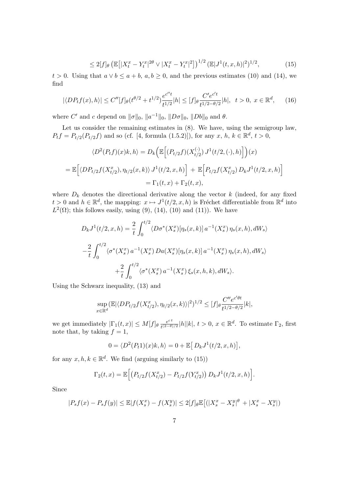$$
\leq 2[f]_{\theta} \left( \mathbb{E} \left[ |X_t^x - Y_t^x|^{2\theta} \vee |X_t^x - Y_t^x|^2 \right] \right)^{1/2} (\mathbb{E} |J^1(t, x, h)|^2)^{1/2},\tag{15}
$$

 $t > 0$ . Using that  $a \vee b \le a + b$ ,  $a, b \ge 0$ , and the previous estimates (10) and (14), we find

$$
|\langle DP_t f(x), h \rangle| \le C''[f]_{\theta}(t^{\theta/2} + t^{1/2}) \frac{e^{c''t}}{t^{1/2}} |h| \le [f]_{\theta} \frac{C'e^{c't}}{t^{1/2 - \theta/2}} |h|, \ t > 0, \ x \in \mathbb{R}^d,
$$
 (16)

where C' and c depend on  $||\sigma||_0$ ,  $||a^{-1}||_0$ ,  $||D\sigma||_0$ ,  $||Db||_0$  and  $\theta$ .

Let us consider the remaining estimates in  $(8)$ . We have, using the semigroup law,  $P_t f = P_{t/2}(P_{t/2}f)$  and so (cf. [4, formula (1.5.2)]), for any  $x, h, k \in \mathbb{R}^d, t > 0$ ,

$$
\langle D^2(P_t f)(x)k, h \rangle = D_k \Big( \mathbb{E} \Big[ (P_{t/2} f)(X_{t/2}^{(\cdot)}) J^1(t/2, (\cdot), h) \Big] \Big) (x)
$$
  
=  $\mathbb{E} \Big[ \langle D P_{t/2} f(X_{t/2}^x), \eta_{t/2}(x, k) \rangle J^1(t/2, x, h) \Big] + \mathbb{E} \Big[ P_{t/2} f(X_{t/2}^x) D_k J^1(t/2, x, h) \Big]$   
=  $\Gamma_1(t, x) + \Gamma_2(t, x),$ 

where  $D_k$  denotes the directional derivative along the vector k (indeed, for any fixed  $t > 0$  and  $h \in \mathbb{R}^d$ , the mapping:  $x \mapsto J^1(t/2, x, h)$  is Fréchet differentiable from  $\mathbb{R}^d$  into  $L^2(\Omega)$ ; this follows easily, using (9), (14), (10) and (11)). We have

$$
D_k J^1(t/2, x, h) = \frac{2}{t} \int_0^{t/2} \langle D\sigma^*(X_s^x) [\eta_s(x, k)] a^{-1}(X_s^x) \eta_s(x, h), dW_s \rangle
$$
  

$$
- \frac{2}{t} \int_0^{t/2} \langle \sigma^*(X_s^x) a^{-1}(X_s^x) D a(X_s^x) [\eta_s(x, k)] a^{-1}(X_s^x) \eta_s(x, h), dW_s \rangle
$$
  

$$
+ \frac{2}{t} \int_0^{t/2} \langle \sigma^*(X_s^x) a^{-1}(X_s^x) \xi_s(x, h, k), dW_s \rangle.
$$

Using the Schwarz inequality, (13) and

$$
\sup_{x \in \mathbb{R}^d} (\mathbb{E} |\langle DP_{t/2} f(X^x_{t/2}), \eta_{t/2}(x, k) \rangle|^2)^{1/2} \le [f]_{\theta} \frac{C'' e^{c' \theta t}}{t^{1/2 - \theta/2}} |k|,
$$

we get immediately  $|\Gamma_1(t,x)| \leq M[f]_{\theta} \frac{e^{ct}}{t^{(2-\theta)}}$  $\frac{e^{ct}}{t^{(2-\theta)/2}}|h||k|, t > 0, x \in \mathbb{R}^d$ . To estimate  $\Gamma_2$ , first note that, by taking  $f = 1$ ,

$$
0 = \langle D^2(P_t 1)(x)k, h \rangle = 0 + \mathbb{E}\big[D_k J^1(t/2, x, h)\big],
$$

for any  $x, h, k \in \mathbb{R}^d$ . We find (arguing similarly to (15))

$$
\Gamma_2(t,x) = \mathbb{E}\Big[\big(P_{t/2}f(X_{t/2}^x) - P_{t/2}f(Y_{t/2}^x)\big) D_k J^1(t/2,x,h)\Big].
$$

Since

$$
|P_s f(x) - P_s f(y)| \leq \mathbb{E}|f(X_s^x) - f(X_s^y)| \leq 2[f]_{\theta} \mathbb{E}\big[ (|X_s^x - X_s^y|^{\theta} + |X_s^x - X_s^y|)
$$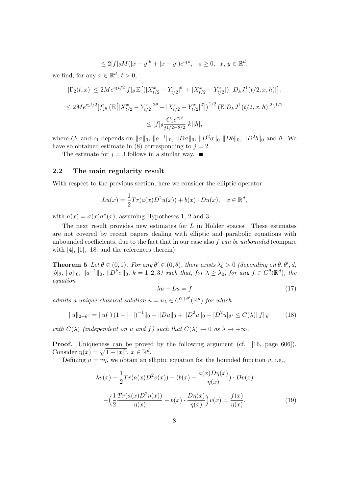$$
\leq 2[f]_{\theta}M(|x-y|^{\theta}+|x-y|)e^{c_1s}, \quad s \geq 0, \ x, y \in \mathbb{R}^d,
$$

we find, for any  $x \in \mathbb{R}^d$ ,  $t > 0$ ,

$$
\begin{aligned} |\Gamma_2(t,x)| &\le 2M e^{c_1 t/2} [f]_\theta \, \mathbb{E} \big[ \big( |X_{t/2}^x - Y_{t/2}^x|^\theta + |X_{t/2}^x - Y_{t/2}^x| \big) \, |D_k J^1(t/2,x,h)| \big]. \\ &\le 2M e^{c_1 t/2} [f]_\theta \left( \mathbb{E} \big[ |X_{t/2}^x - Y_{t/2}^x|^{2\theta} + |X_{t/2}^x - Y_{t/2}^x|^2 \big] \right)^{1/2} \left( \mathbb{E} |D_k J^1(t/2,x,h)|^2 \right)^{1/2} \\ &\le [f]_\theta \frac{C_1 e^{c_1 t}}{t^{1/2 - \theta/2}} |k| |h|, \end{aligned}
$$

where  $C_1$  and  $c_1$  depends on  $\|\sigma\|_0$ ,  $\|a^{-1}\|_0$ ,  $\|D\sigma\|_0$ ,  $\|D^2\sigma\|_0$   $\|Db\|_0$ ,  $\|D^2b\|_0$  and  $\theta$ . We have so obtained estimate in (8) corresponding to  $j = 2$ .

The estimate for  $j = 3$  follows in a similar way.

### 2.2 The main regularity result

With respect to the previous section, here we consider the elliptic operator

$$
Lu(x) = \frac{1}{2}Tr(a(x)D^2u(x)) + b(x) \cdot Du(x), \quad x \in \mathbb{R}^d,
$$

with  $a(x) = \sigma(x)\sigma^*(x)$ , assuming Hypotheses 1, 2 and 3.

The next result provides new estimates for  $L$  in Hölder spaces. These estimates are not covered by recent papers dealing with elliptic and parabolic equations with unbounded coefficients, due to the fact that in our case also  $f$  can be unbounded (compare with  $[4]$ ,  $[1]$ ,  $[18]$  and the references therein).

**Theorem 5** Let  $\theta \in (0,1)$ . For any  $\theta' \in (0,\theta)$ , there exists  $\lambda_0 > 0$  (depending on  $\theta, \theta', d$ ,  $[b]_\theta$ ,  $\|\sigma\|_0$ ,  $\|a^{-1}\|_0$ ,  $\|D^k\sigma\|_0$ ,  $k=1,2,3$ ) such that, for  $\lambda \geq \lambda_0$ , for any  $f \in C^\theta(\mathbb{R}^d)$ , the equation

$$
\lambda u - Lu = f \tag{17}
$$

admits a unique classical solution  $u = u_{\lambda} \in C^{2+\theta'}(\mathbb{R}^d)$  for which

$$
||u||_{2+\theta'} = ||u(\cdot)(1+|\cdot|)^{-1}||_0 + ||Du||_0 + ||D^2u||_0 + [D^2u]_{\theta'} \le C(\lambda) ||f||_{\theta}
$$
 (18)

with  $C(\lambda)$  (independent on u and f) such that  $C(\lambda) \to 0$  as  $\lambda \to +\infty$ .

**Proof.** Uniqueness can be proved by the following argument (cf. [16, page 606]). Consider  $\eta(x) = \sqrt{1 + |x|^2}, x \in \mathbb{R}^d$ .

Defining  $u = v\eta$ , we obtain an elliptic equation for the bounded function v, i.e.,

$$
\lambda v(x) - \frac{1}{2} Tr(a(x)D^2 v(x)) - (b(x) + \frac{a(x)D\eta(x)}{\eta(x)}) \cdot Dv(x)
$$

$$
- \Big(\frac{1}{2}\frac{Tr(a(x)D^2\eta(x))}{\eta(x)} + b(x) \cdot \frac{D\eta(x)}{\eta(x)}\Big)v(x) = \frac{f(x)}{\eta(x)},
$$
(19)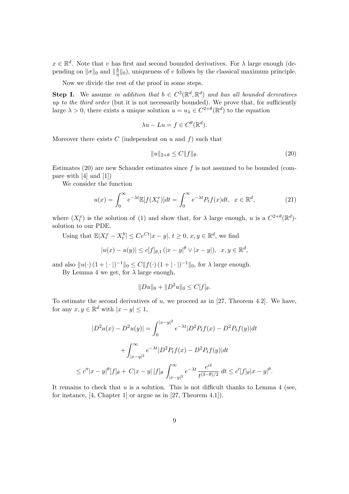$x \in \mathbb{R}^d$ . Note that v has first and second bounded derivatives. For  $\lambda$  large enough (depending on  $\|\sigma\|_0$  and  $\|\frac{b}{n}$  $\frac{b}{\eta}$ ||0), uniqueness of v follows by the classical maximum principle.

Now we divide the rest of the proof in some steps.

**Step I.** We assume in addition that  $b \in C^3(\mathbb{R}^d, \mathbb{R}^d)$  and has all bounded derivatives up to the third order (but it is not necessarily bounded). We prove that, for sufficiently large  $\lambda > 0$ , there exists a unique solution  $u = u_{\lambda} \in C^{2+\theta}(\mathbb{R}^d)$  to the equation

$$
\lambda u - Lu = f \in C^{\theta}(\mathbb{R}^d).
$$

Moreover there exists  $C$  (independent on  $u$  and  $f$ ) such that

$$
||u||_{2+\theta} \le C||f||_{\theta}.\tag{20}
$$

 $\theta$ .

Estimates (20) are new Schauder estimates since  $f$  is not assumed to be bounded (compare with [4] and [1])

We consider the function

$$
u(x) = \int_0^\infty e^{-\lambda t} \mathbb{E}[f(X_t^x)] dt = \int_0^\infty e^{-\lambda t} P_t f(x) dt, \quad x \in \mathbb{R}^d,
$$
\n(21)

where  $(X_t^x)$  is the solution of (1) and show that, for  $\lambda$  large enough, u is a  $C^{2+\theta}(\mathbb{R}^d)$ solution to our PDE.

Using that  $\mathbb{E}|X_t^x - X_t^y|$  $|y| \le Ce^{Ct}|x-y|, t \ge 0, x, y \in \mathbb{R}^d$ , we find

$$
|u(x) - u(y)| \le c[f]_{\theta,1} (|x - y|^{\theta} \vee |x - y|), \ \ x, y \in \mathbb{R}^d,
$$

and also  $||u(\cdot)(1+|\cdot|)^{-1}||_0 \leq C||f(\cdot)(1+|\cdot|)^{-1}||_0$ , for  $\lambda$  large enough.

By Lemma 4 we get, for  $\lambda$  large enough,

$$
||Du||_0 + ||D^2u||_0 \le C[f]_\theta.
$$

To estimate the second derivatives of  $u$ , we proceed as in [27, Theorem 4.2]. We have, for any  $x, y \in \mathbb{R}^d$  with  $|x - y| \leq 1$ ,

$$
|D^2u(x) - D^2u(y)| = \int_0^{|x-y|^2} e^{-\lambda t} |D^2P_t f(x) - D^2P_t f(y)|dt
$$
  
+ 
$$
\int_{|x-y|^2}^{\infty} e^{-\lambda t} |D^2P_t f(x) - D^2P_t f(y)|dt
$$
  

$$
\leq c''|x-y|^{\theta}[f]_{\theta} + C|x-y| [f]_{\theta} \int_{|x-y|^2}^{\infty} e^{-\lambda t} \frac{e^{ct}}{t^{(3-\theta)/2}} dt \leq c'[f]_{\theta}|x-y|
$$

It remains to check that  $u$  is a solution. This is not difficult thanks to Lemma 4 (see, for instance, [4, Chapter 1] or argue as in [27, Theorem 4.1]).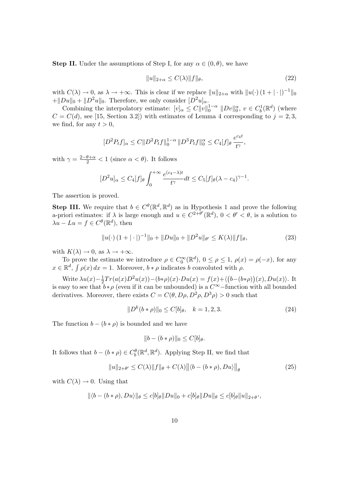**Step II.** Under the assumptions of Step I, for any  $\alpha \in (0, \theta)$ , we have

$$
||u||_{2+\alpha} \le C(\lambda) ||f||_{\theta}, \tag{22}
$$

with  $C(\lambda) \to 0$ , as  $\lambda \to +\infty$ . This is clear if we replace  $||u||_{2+\alpha}$  with  $||u(\cdot)(1+|\cdot|)^{-1}||_0$  $+\|Du\|_0 + \|D^2u\|_0$ . Therefore, we only consider  $[D^2u]_{\alpha}$ .

Combining the interpolatory estimate:  $[v]_{\alpha} \leq C ||v||_0^{1-\alpha} ||Dv||_0^{\alpha}, v \in C_b^1(\mathbb{R}^d)$  (where  $C = C(d)$ , see [15, Section 3.2]) with estimates of Lemma 4 corresponding to  $j = 2, 3$ , we find, for any  $t > 0$ ,

$$
[D^{2}P_{t}f]_{\alpha} \leq C \|D^{2}P_{t}f\|_{0}^{1-\alpha} \|D^{3}P_{t}f\|_{0}^{\alpha} \leq C_{4}[f]_{\theta} \frac{e^{c_{4}t}}{t^{\gamma}},
$$

with  $\gamma = \frac{2-\theta+\alpha}{2} < 1$  (since  $\alpha < \theta$ ). It follows

$$
[D^2 u]_{\alpha} \leq C_4[f]_{\theta} \int_0^{+\infty} \frac{e^{(c_4 - \lambda)t}}{t^{\gamma}} dt \leq C_5[f]_{\theta} (\lambda - c_4)^{\gamma - 1}.
$$

The assertion is proved.

**Step III.** We require that  $b \in C^{\theta}(\mathbb{R}^d, \mathbb{R}^d)$  as in Hypothesis 1 and prove the following a-priori estimates: if  $\lambda$  is large enough and  $u \in C^{2+\theta'}(\mathbb{R}^d)$ ,  $0 < \theta' < \theta$ , is a solution to  $\lambda u - Lu = f \in C^{\theta}(\mathbb{R}^d)$ , then

$$
||u(\cdot)(1+|\cdot|)^{-1}||_0 + ||Du||_0 + ||D^2u||_{\theta'} \le K(\lambda) ||f||_{\theta},
$$
\n(23)

with  $K(\lambda) \to 0$ , as  $\lambda \to +\infty$ .

To prove the estimate we introduce  $\rho \in C_0^{\infty}(\mathbb{R}^d)$ ,  $0 \le \rho \le 1$ ,  $\rho(x) = \rho(-x)$ , for any  $x \in \mathbb{R}^d$ ,  $\int \rho(x) dx = 1$ . Moreover,  $b * \rho$  indicates b convoluted with  $\rho$ .

Write  $\lambda u(x)-\frac{1}{2}$  $\frac{1}{2}Tr(a(x)D^2u(x)) - (b*\rho)(x) \cdot Du(x) = f(x) + \langle (b-(b*\rho))(x), Du(x) \rangle$ . It is easy to see that  $b * \rho$  (even if it can be unbounded) is a  $C^{\infty}$ -function with all bounded derivatives. Moreover, there exists  $C = C(\theta, D\rho, D^2\rho, D^3\rho) > 0$  such that

$$
||D^k(b*\rho)||_0 \le C[b]_\theta, \quad k = 1, 2, 3. \tag{24}
$$

The function  $b - (b * \rho)$  is bounded and we have

$$
||b - (b * \rho)||_0 \le C[b]_\theta.
$$

It follows that  $b - (b * \rho) \in C_b^{\theta}(\mathbb{R}^d, \mathbb{R}^d)$ . Applying Step II, we find that

$$
||u||_{2+\theta'} \leq C(\lambda) ||f||_{\theta} + C(\lambda) ||\langle b - (b * \rho), Du \rangle||_{\theta}
$$
\n(25)

with  $C(\lambda) \rightarrow 0$ . Using that

$$
\|\langle b - (b * \rho), Du \rangle\|_{\theta} \le c[b]_{\theta} \|Du\|_{0} + c[b]_{\theta} \|Du\|_{\theta} \le c[b]_{\theta} \|u\|_{2+\theta'},
$$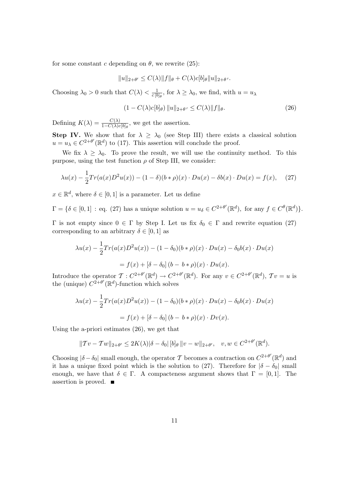for some constant c depending on  $\theta$ , we rewrite (25):

$$
||u||_{2+\theta'} \leq C(\lambda) ||f||_{\theta} + C(\lambda) c[b]_{\theta} ||u||_{2+\theta'}.
$$

Choosing  $\lambda_0 > 0$  such that  $C(\lambda) < \frac{1}{c \ln \lambda}$  $\frac{1}{c [b]_{\theta}}$ , for  $\lambda \geq \lambda_0$ , we find, with  $u = u_{\lambda}$ 

$$
(1 - C(\lambda)c[b]_{\theta}) ||u||_{2+\theta'} \le C(\lambda) ||f||_{\theta}.
$$
\n(26)

Defining  $K(\lambda) = \frac{C(\lambda)}{1 - C(\lambda)c[b]_{\theta}},$  we get the assertion.

Step IV. We show that for  $\lambda \geq \lambda_0$  (see Step III) there exists a classical solution  $u = u_{\lambda} \in C^{2+\theta'}(\mathbb{R}^d)$  to (17). This assertion will conclude the proof.

We fix  $\lambda \geq \lambda_0$ . To prove the result, we will use the continuity method. To this purpose, using the test function  $\rho$  of Step III, we consider:

$$
\lambda u(x) - \frac{1}{2} Tr(a(x)D^2 u(x)) - (1 - \delta)(b * \rho)(x) \cdot Du(x) - \delta b(x) \cdot Du(x) = f(x), \quad (27)
$$

 $x \in \mathbb{R}^d$ , where  $\delta \in [0,1]$  is a parameter. Let us define

$$
\Gamma = \{ \delta \in [0, 1] : \text{eq. (27) has a unique solution } u = u_{\delta} \in C^{2+\theta'}(\mathbb{R}^d), \text{ for any } f \in C^{\theta}(\mathbb{R}^d) \}.
$$

 $Γ$  is not empty since  $0 ∈ Γ$  by Step I. Let us fix  $δ₀ ∈ Γ$  and rewrite equation (27) corresponding to an arbitrary  $\delta \in [0,1]$  as

$$
\lambda u(x) - \frac{1}{2} Tr(a(x)D^2 u(x)) - (1 - \delta_0)(b * \rho)(x) \cdot Du(x) - \delta_0 b(x) \cdot Du(x)
$$
  
=  $f(x) + [\delta - \delta_0] (b - b * \rho)(x) \cdot Du(x).$ 

Introduce the operator  $\mathcal{T}: C^{2+\theta'}(\mathbb{R}^d) \to C^{2+\theta'}(\mathbb{R}^d)$ . For any  $v \in C^{2+\theta'}(\mathbb{R}^d)$ ,  $\mathcal{T}v = u$  is the (unique)  $C^{2+\theta'}(\mathbb{R}^d)$ -function which solves

$$
\lambda u(x) - \frac{1}{2} Tr(a(x)D^2 u(x)) - (1 - \delta_0)(b * \rho)(x) \cdot Du(x) - \delta_0 b(x) \cdot Du(x)
$$
  
=  $f(x) + [\delta - \delta_0] (b - b * \rho)(x) \cdot Dv(x).$ 

Using the a-priori estimates (26), we get that

$$
||Tv - Tw||_{2+\theta'} \le 2K(\lambda)|\delta - \delta_0| [b]_{\theta} ||v - w||_{2+\theta'}, \quad v, w \in C^{2+\theta'}(\mathbb{R}^d).
$$

Choosing  $|\delta - \delta_0|$  small enough, the operator T becomes a contraction on  $C^{2+\theta'}(\mathbb{R}^d)$  and it has a unique fixed point which is the solution to (27). Therefore for  $|\delta - \delta_0|$  small enough, we have that  $\delta \in \Gamma$ . A compacteness argument shows that  $\Gamma = [0, 1]$ . The assertion is proved.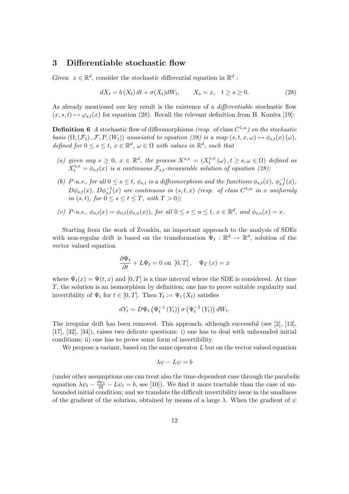## 3 Differentiable stochastic flow

Given  $x \in \mathbb{R}^d$ , consider the stochastic differential equation in  $\mathbb{R}^d$ :

$$
dX_t = b(X_t) dt + \sigma(X_t) dW_t, \qquad X_s = x, \quad t \ge s \ge 0. \tag{28}
$$

As already mentioned our key result is the existence of a *differentiable* stochastic flow  $(x, s, t) \mapsto \varphi_{s,t}(x)$  for equation (28). Recall the relevant definition from H. Kunita [19]:

**Definition 6** A stochastic flow of diffeomorphisms (resp. of class  $C^{1,\alpha}$ ) on the stochastic basis  $(\Omega, (\mathcal{F}_t), \mathcal{F}, P, (W_t))$  associated to equation (28) is a map  $(s, t, x, \omega) \mapsto \phi_{s,t}(x) (\omega)$ , defined for  $0 \leq s \leq t$ ,  $x \in \mathbb{R}^d$ ,  $\omega \in \Omega$  with values in  $\mathbb{R}^d$ , such that

- (a) given any  $s \geq 0$ ,  $x \in \mathbb{R}^d$ , the process  $X^{s,x} = (X_t^{s,x})$  $t_t^{s,x}(\omega), t \geq s, \omega \in \Omega$ ) defined as  $X_t^{s,x} = \phi_{s,t}(x)$  is a continuous  $\mathcal{F}_{s,t}$ -measurable solution of equation (28),
- (b) P-a.s., for all  $0 \le s \le t$ ,  $\phi_{s,t}$  is a diffeomorphism and the functions  $\phi_{s,t}(x)$ ,  $\phi_{s,t}^{-1}(x)$ ,  $D\phi_{s,t}(x)$ ,  $D\phi_{s,t}^{-1}(x)$  are continuous in  $(s,t,x)$  (resp. of class  $C^{1,\alpha}$  in x uniformly in  $(s, t)$ , for  $0 \le s \le t \le T$ , with  $T > 0$ );
- (c) P-a.s.,  $\phi_{s,t}(x) = \phi_{u,t}(\phi_{s,u}(x))$ , for all  $0 \le s \le u \le t$ ,  $x \in \mathbb{R}^d$ , and  $\phi_{s,s}(x) = x$ .

Starting from the work of Zvonkin, an important approach to the analysis of SDEs with non-regular drift is based on the transformation  $\Psi_t : \mathbb{R}^d \to \mathbb{R}^d$ , solution of the vector valued equation

$$
\frac{\partial \Psi_t}{\partial t} + L\Psi_t = 0 \text{ on } [0, T], \quad \Psi_T(x) = x
$$

where  $\Psi_t(x) = \Psi(t, x)$  and  $[0, T]$  is a time interval where the SDE is considered. At time T, the solution is an isomorphism by definition; one has to prove suitable regularity and invertibility of  $\Psi_t$  for  $t \in [0, T]$ . Then  $Y_t := \Psi_t(X_t)$  satisfies

$$
dY_t = D\Psi_t \left( \Psi_t^{-1} \left( Y_t \right) \right) \sigma \left( \Psi_t^{-1} \left( Y_t \right) \right) dW_t.
$$

The irregular drift has been removed. This approach, although successful (see [2], [13], [17], [32], [34]), raises two delicate questions: i) one has to deal with unbounded initial conditions; ii) one has to prove some form of invertibility.

We propose a variant, based on the same operator  $L$  but on the vector valued equation

$$
\lambda \psi - L\psi = b
$$

(under other assumptions one can treat also the time-dependent case through the parabolic equation  $\lambda \psi_t - \frac{\partial \psi_t}{\partial t} - L\psi_t = b$ , see [10]). We find it more tractable than the case of unbounded initial condition; and we translate the difficult invertibility issue in the smallness of the gradient of the solution, obtained by means of a large  $\lambda$ . When the gradient of  $\psi$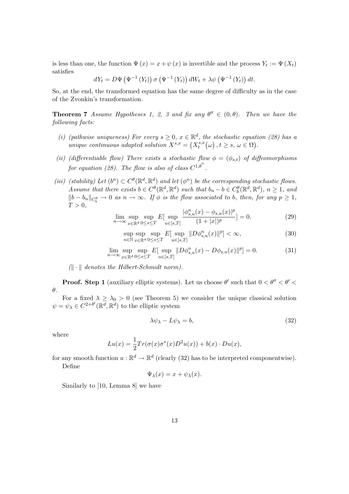is less than one, the function  $\Psi(x) = x + \psi(x)$  is invertible and the process  $Y_t := \Psi(X_t)$ satisfies

$$
dY_t = D\Psi\left(\Psi^{-1}\left(Y_t\right)\right)\sigma\left(\Psi^{-1}\left(Y_t\right)\right)dW_t + \lambda\psi\left(\Psi^{-1}\left(Y_t\right)\right)dt.
$$

So, at the end, the transformed equation has the same degree of difficulty as in the case of the Zvonkin's transformation.

**Theorem 7** Assume Hypotheses 1, 2, 3 and fix any  $\theta'' \in (0, \theta)$ . Then we have the following facts:

- (i) (pathwise uniqueness) For every  $s \geq 0$ ,  $x \in \mathbb{R}^d$ , the stochastic equation (28) has a unique continuous adapted solution  $X^{s,x} = (X^{s,x}_t)$  $t^{s,x}_t(\omega)$  ,  $t \geq s, \ \omega \in \Omega$ ).
- (ii) (differentiable flow) There exists a stochastic flow  $\phi = (\phi_{s,t})$  of diffeomorphisms for equation (28). The flow is also of class  $C^{1,\theta''}$ .
- (iii) (stability) Let  $(b^n) \subset C^{\theta}(\mathbb{R}^d, \mathbb{R}^d)$  and let  $(\phi^n)$  be the corresponding stochastic flows. Assume that there exists  $b \in C^{\theta}(\mathbb{R}^d, \mathbb{R}^d)$  such that  $b_n - b \in C_b^{\theta}(\mathbb{R}^d, \mathbb{R}^d)$ ,  $n \ge 1$ , and  $||b - b_n||_{C_b^{\theta}} \to 0$  as  $n \to \infty$ . If  $\phi$  is the flow associated to b, then, for any  $p \ge 1$ ,  $T > 0$ ,

$$
\lim_{n \to \infty} \sup_{x \in \mathbb{R}^d} \sup_{0 \le s \le T} E[\sup_{u \in [s,T]} \frac{|\phi^n_{s,u}(x) - \phi_{s,u}(x)|^p}{(1+|x|)^p}] = 0.
$$
\n(29)

$$
\sup_{n \in \mathbb{N}} \sup_{x \in \mathbb{R}^d} \sup_{0 \le s \le T} E[\sup_{u \in [s,T]} \|D\phi^n_{s,u}(x)\|^p] < \infty,\tag{30}
$$

$$
\lim_{n \to \infty} \sup_{x \in \mathbb{R}^d} \sup_{0 \le s \le T} E[\sup_{u \in [s,T]} \|D\phi^n_{s,u}(x) - D\phi_{s,u}(x)\|^p] = 0.
$$
\n(31)

 $|| \cdot ||$  denotes the Hilbert-Schmidt norm).

**Proof.** Step 1 (auxiliary elliptic systems). Let us choose  $\theta'$  such that  $0 < \theta'' < \theta' <$ θ.

For a fixed  $\lambda \ge \lambda_0 > 0$  (see Theorem 5) we consider the unique classical solution  $\psi = \psi_{\lambda} \in C^{2+\theta'}(\mathbb{R}^d, \mathbb{R}^d)$  to the elliptic system

$$
\lambda \psi_{\lambda} - L \psi_{\lambda} = b,\tag{32}
$$

where

$$
Lu(x) = \frac{1}{2}Tr(\sigma(x)\sigma^*(x)D^2u(x)) + b(x) \cdot Du(x),
$$

for any smooth function  $u : \mathbb{R}^d \to \mathbb{R}^d$  (clearly (32) has to be interpreted componentwise). Define

$$
\Psi_{\lambda}(x) = x + \psi_{\lambda}(x).
$$

Similarly to [10, Lemma 8] we have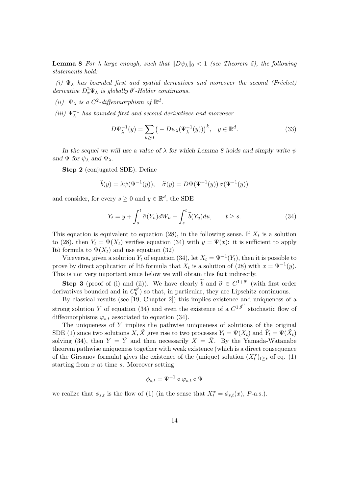**Lemma 8** For  $\lambda$  large enough, such that  $\|D\psi_{\lambda}\|_{0} < 1$  (see Theorem 5), the following statements hold:

(i)  $\Psi_{\lambda}$  has bounded first and spatial derivatives and moreover the second (Fréchet) derivative  $D_x^2\Psi_\lambda$  is globally  $\theta'$ -Hölder continuous.

- (ii)  $\Psi_{\lambda}$  is a  $C^2$ -diffeomorphism of  $\mathbb{R}^d$ .
- $(iii) \Psi_{\lambda}^{-1}$  $\lambda^{-1}$  has bounded first and second derivatives and moreover

$$
D\Psi_{\lambda}^{-1}(y) = \sum_{k \ge 0} \left( -D\psi_{\lambda}(\Psi_{\lambda}^{-1}(y)) \right)^k, \quad y \in \mathbb{R}^d. \tag{33}
$$

In the sequel we will use a value of  $\lambda$  for which Lemma 8 holds and simply write  $\psi$ and  $\Psi$  for  $\psi_{\lambda}$  and  $\Psi_{\lambda}$ .

Step 2 (conjugated SDE). Define

$$
\widetilde{b}(y) = \lambda \psi(\Psi^{-1}(y)), \quad \widetilde{\sigma}(y) = D\Psi(\Psi^{-1}(y)) \sigma(\Psi^{-1}(y))
$$

and consider, for every  $s \geq 0$  and  $y \in \mathbb{R}^d$ , the SDE

$$
Y_t = y + \int_s^t \tilde{\sigma}(Y_u) dW_u + \int_s^t \tilde{b}(Y_u) du, \qquad t \ge s.
$$
 (34)

This equation is equivalent to equation (28), in the following sense. If  $X_t$  is a solution to (28), then  $Y_t = \Psi(X_t)$  verifies equation (34) with  $y = \Psi(x)$ : it is sufficient to apply Itô formula to  $\Psi(X_t)$  and use equation (32).

Viceversa, given a solution  $Y_t$  of equation (34), let  $X_t = \Psi^{-1}(Y_t)$ , then it is possible to prove by direct application of Itô formula that  $X_t$  is a solution of (28) with  $x = \Psi^{-1}(y)$ . This is not very important since below we will obtain this fact indirectly.

**Step 3** (proof of (i) and (ii)). We have clearly  $\tilde{b}$  and  $\tilde{\sigma} \in C^{1+\theta'}$  (with first order in particular they are Lincolnized continuous derivatives bounded and in  $C_b^{\theta'}$  $\binom{\theta'}{b}$  so that, in particular, they are Lipschitz continuous.

By classical results (see [19, Chapter 2]) this implies existence and uniqueness of a strong solution Y of equation (34) and even the existence of a  $C^{1,\theta''}$  stochastic flow of diffeomorphisms  $\varphi_{s,t}$  associated to equation (34).

The uniqueness of Y implies the pathwise uniqueness of solutions of the original SDE (1) since two solutions  $X, \tilde{X}$  give rise to two processes  $Y_t = \Psi(X_t)$  and  $\tilde{Y}_t = \Psi(\tilde{X}_t)$ solving (34), then  $Y = \tilde{Y}$  and then necessarily  $X = \tilde{X}$ . By the Yamada-Watanabe theorem pathwise uniqueness together with weak existence (which is a direct consequence of the Girsanov formula) gives the existence of the (unique) solution  $(X_t^x)_{t\geq s}$  of eq. (1) starting from  $x$  at time  $s$ . Moreover setting

$$
\phi_{s,t}=\Psi^{-1}\circ\varphi_{s,t}\circ\Psi
$$

we realize that  $\phi_{s,t}$  is the flow of (1) (in the sense that  $X_t^x = \phi_{s,t}(x)$ , P-a.s.).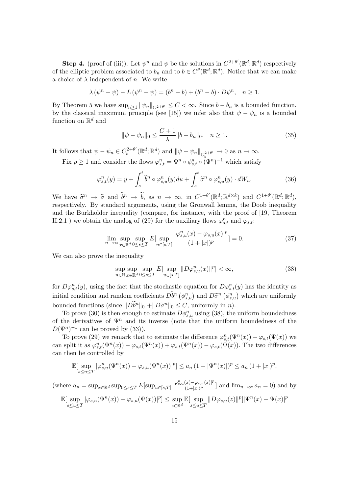**Step 4.** (proof of (iii)). Let  $\psi^n$  and  $\psi$  be the solutions in  $C^{2+\theta'}(\mathbb{R}^d;\mathbb{R}^d)$  respectively of the elliptic problem associated to  $b_n$  and to  $b \in C^{\theta}(\mathbb{R}^d; \mathbb{R}^d)$ . Notice that we can make a choice of  $\lambda$  independent of n. We write

$$
\lambda (\psi^{n} - \psi) - L (\psi^{n} - \psi) = (b^{n} - b) + (b^{n} - b) \cdot D\psi^{n}, \quad n \ge 1.
$$

By Theorem 5 we have  $\sup_{n>1} ||\psi_n||_{C^{2+\theta'}} \leq C < \infty$ . Since  $b - b_n$  is a bounded function, by the classical maximum principle (see [15]) we infer also that  $\psi - \psi_n$  is a bounded function on  $\mathbb{R}^d$  and

$$
\|\psi - \psi_n\|_0 \le \frac{C+1}{\lambda} \|b - b_n\|_0, \quad n \ge 1.
$$
 (35)

It follows that  $\psi - \psi_n \in C_b^{2+\theta'}$  $\psi_b^{(2+\theta')}(\mathbb{R}^d;\mathbb{R}^d)$  and  $\|\psi - \psi_n\|_{C_b^{2+\theta'}} \to 0$  as  $n \to \infty$ . Fix  $p \geq 1$  and consider the flows  $\varphi_{s,t}^n = \Psi^n \circ \phi_{s,t}^n \circ (\Psi^n)^{-1}$  which satisfy

$$
\varphi_{s,t}^n(y) = y + \int_s^t \widetilde{b}^n \circ \varphi_{s,u}^n(y) du + \int_s^t \widetilde{\sigma}^n \circ \varphi_{s,u}^n(y) \cdot dW_u, \tag{36}
$$

We have  $\tilde{\sigma}^n \to \tilde{\sigma}$  and  $\tilde{b}^n \to \tilde{b}$ , as  $n \to \infty$ , in  $C^{1+\theta'}(\mathbb{R}^d; \mathbb{R}^{d \times k})$  and  $C^{1+\theta'}(\mathbb{R}^d; \mathbb{R}^d)$ , respectively. By standard arguments, using the Gronwall lemma, the Doob inequality and the Burkholder inequality (compare, for instance, with the proof of [19, Theorem II.2.1]) we obtain the analog of (29) for the auxiliary flows  $\varphi_{s,t}^n$  and  $\varphi_{s,t}$ :

$$
\lim_{n \to \infty} \sup_{x \in \mathbb{R}^d} \sup_{0 \le s \le T} E[\sup_{u \in [s,T]} \frac{|\varphi^n_{s,u}(x) - \varphi_{s,u}(x)|^p}{(1+|x|)^p}] = 0.
$$
\n(37)

We can also prove the inequality

$$
\sup_{n \in \mathbb{N}} \sup_{x \in \mathbb{R}^d} \sup_{0 \le s \le T} E[\sup_{u \in [s,T]} \|D\varphi_{s,u}^n(x)\|^p] < \infty,\tag{38}
$$

for  $D\varphi_{s,t}^n(y)$ , using the fact that the stochastic equation for  $D\varphi_{s,t}^n(y)$  has the identity as initial condition and random coefficients  $\tilde{D}b^n (\phi_{s,u}^n)$  and  $\tilde{D}\tilde{\sigma}^n (\phi_{s,u}^n)$  which are uniformly bounded functions (since  $\|\overline{D}\tilde{b}^n\|_0 + \|\overline{D}\tilde{\sigma}^n\|_0 \leq C$ , uniformly in n).<br>To prove (30) is then enough to estimate  $\overline{D}\phi^n$ , using (38) then

To prove (30) is then enough to estimate  $D\phi_{s,u}^n$  using (38), the uniform boundedness of the derivatives of  $\Psi^n$  and its inverse (note that the uniform boundedness of the  $D(\Psi^n)^{-1}$  can be proved by (33)).

To prove (29) we remark that to estimate the difference  $\varphi_{s,t}^n(\Psi^n(x)) - \varphi_{s,t}(\Psi(x))$  we can split it as  $\varphi_{s,t}^n(\Psi^n(x)) - \varphi_{s,t}(\Psi^n(x)) + \varphi_{s,t}(\Psi^n(x)) - \varphi_{s,t}(\Psi(x))$ . The two differences can then be controlled by

$$
\mathbb{E}[\sup_{s\leq u\leq T}|\varphi_{s,u}^n(\Psi^n(x))-\varphi_{s,u}(\Psi^n(x))|^p]\leq a_n(1+|\Psi^n(x)|)^p\leq a_n(1+|x|)^p,
$$

(where  $a_n = \sup_{x \in \mathbb{R}^d} \sup_{0 \le s \le T} E[\sup_{u \in [s,T]} \frac{|\varphi^n_{s,u}(x) - \varphi_{s,u}(x)|^p}{(1+|x|)^p}]$  $\frac{(x)-\varphi_{s,u}(x)|^2}{(1+|x|)^p}$  and  $\lim_{n\to\infty} a_n=0$  and by

$$
\mathbb{E}[\sup_{s\leq u\leq T}|\varphi_{s,u}(\Psi^n(x))-\varphi_{s,u}(\Psi(x))|^p]\leq \sup_{z\in\mathbb{R}^d}\mathbb{E}[\sup_{s\leq u\leq T}\|D\varphi_{s,u}(z)\|^p]\|\Psi^n(x)-\Psi(x)\|^p
$$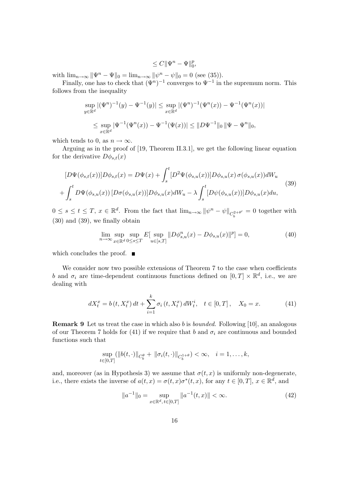$$
\leq C \|\Psi^n - \Psi\|_0^p,
$$

with  $\lim_{n \to \infty} \|\Psi^n - \Psi\|_0 = \lim_{n \to \infty} \|\psi^n - \psi\|_0 = 0$  (see (35)).

Finally, one has to check that  $(\Psi^n)^{-1}$  converges to  $\Psi^{-1}$  in the supremum norm. This follows from the inequality

$$
\sup_{y \in \mathbb{R}^d} |(\Psi^n)^{-1}(y) - \Psi^{-1}(y)| \le \sup_{x \in \mathbb{R}^d} |(\Psi^n)^{-1}(\Psi^n(x)) - \Psi^{-1}(\Psi^n(x))|
$$
  

$$
\le \sup_{x \in \mathbb{R}^d} |\Psi^{-1}(\Psi^n(x)) - \Psi^{-1}(\Psi(x))| \le ||D\Psi^{-1}||_0 ||\Psi - \Psi^n||_0,
$$

which tends to 0, as  $n \to \infty$ .

Arguing as in the proof of [19, Theorem II.3.1], we get the following linear equation for the derivative  $D\phi_{s,t}(x)$ 

$$
[D\Psi(\phi_{s,t}(x))]D\phi_{s,t}(x) = D\Psi(x) + \int_s^t [D^2\Psi(\phi_{s,u}(x))]D\phi_{s,u}(x)\,\sigma(\phi_{s,u}(x))dW_u
$$
  
+ 
$$
\int_s^t D\Psi(\phi_{s,u}(x))[D\sigma(\phi_{s,u}(x))]D\phi_{s,u}(x)dW_u - \lambda \int_s^t [D\psi(\phi_{s,u}(x))]D\phi_{s,u}(x)du,
$$
\n(39)

 $0 \leq s \leq t \leq T, x \in \mathbb{R}^d$ . From the fact that  $\lim_{n\to\infty} ||\psi^n - \psi||_{C_b^{2+\theta'}} = 0$  together with (30) and (39), we finally obtain

$$
\lim_{n \to \infty} \sup_{x \in \mathbb{R}^d} \sup_{0 \le s \le T} E[\sup_{u \in [s,T]} \|D\phi^n_{s,u}(x) - D\phi_{s,u}(x)\|^p] = 0,\tag{40}
$$

which concludes the proof.  $\blacksquare$ 

We consider now two possible extensions of Theorem 7 to the case when coefficients b and  $\sigma_i$  are time-dependent continuous functions defined on  $[0, T] \times \mathbb{R}^d$ , i.e., we are dealing with

$$
dX_t^x = b(t, X_t^x) dt + \sum_{i=1}^k \sigma_i(t, X_t^x) dW_t^i, \quad t \in [0, T], \quad X_0 = x.
$$
 (41)

**Remark 9** Let us treat the case in which also b is *bounded*. Following [10], an analogous of our Theorem 7 holds for (41) if we require that b and  $\sigma_i$  are continuous and bounded functions such that

$$
\sup_{t \in [0,T]} (\|b(t,\cdot)\|_{C_b^{\theta}} + \|\sigma_i(t,\cdot)\|_{C_b^{1+\theta}}) < \infty, \quad i = 1,\ldots,k,
$$

and, moreover (as in Hypothesis 3) we assume that  $\sigma(t, x)$  is uniformly non-degenerate, i.e., there exists the inverse of  $a(t, x) = \sigma(t, x)\sigma^*(t, x)$ , for any  $t \in [0, T]$ ,  $x \in \mathbb{R}^d$ , and

$$
||a^{-1}||_0 = \sup_{x \in \mathbb{R}^d, t \in [0,T]} ||a^{-1}(t,x)|| < \infty.
$$
 (42)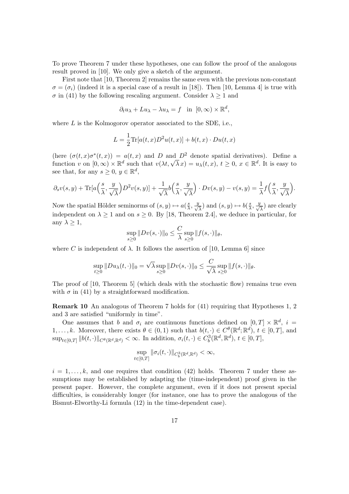To prove Theorem 7 under these hypotheses, one can follow the proof of the analogous result proved in [10]. We only give a sketch of the argument.

First note that [10, Theorem 2] remains the same even with the previous non-constant  $\sigma = (\sigma_i)$  (indeed it is a special case of a result in [18]). Then [10, Lemma 4] is true with  $\sigma$  in (41) by the following rescaling argument. Consider  $\lambda \geq 1$  and

$$
\partial_t u_\lambda + Lu_\lambda - \lambda u_\lambda = f \quad \text{in} \quad [0, \infty) \times \mathbb{R}^d,
$$

where  $L$  is the Kolmogorov operator associated to the SDE, i.e.,

$$
L = \frac{1}{2} \text{Tr}[a(t, x)D^2u(t, x)] + b(t, x) \cdot Du(t, x)
$$

(here  $(\sigma(t,x)\sigma^*(t,x)) = a(t,x)$  and D and D<sup>2</sup> denote spatial derivatives). Define a (here  $(\sigma(t, x)\sigma'(t, x)) = a(t, x)$  and *D* and *D* denote spatial derivatives). Denne a<br>function v on  $[0, \infty) \times \mathbb{R}^d$  such that  $v(\lambda t, \sqrt{\lambda} x) = u_\lambda(t, x), t \ge 0, x \in \mathbb{R}^d$ . It is easy to see that, for any  $s \geq 0, y \in \mathbb{R}^d$ ,

$$
\partial_s v(s,y) + \text{Tr}[a\left(\frac{s}{\lambda}, \frac{y}{\sqrt{\lambda}}\right)D^2 v(s,y)] + \frac{1}{\sqrt{\lambda}}b\left(\frac{s}{\lambda}, \frac{y}{\sqrt{\lambda}}\right) \cdot Dv(s,y) - v(s,y) = \frac{1}{\lambda}f\left(\frac{s}{\lambda}, \frac{y}{\sqrt{\lambda}}\right).
$$

Now the spatial Hölder seminorms of  $(s, y) \mapsto a(\frac{s}{\lambda})$  $\frac{s}{\lambda}, \frac{y}{\sqrt{\lambda}}$ ) and  $(s, y) \mapsto b(\frac{s}{\lambda})$  $\frac{s}{\lambda}, \frac{y}{\sqrt{\lambda}}$ ) are clearly independent on  $\lambda \geq 1$  and on  $s \geq 0$ . By [18, Theorem 2.4], we deduce in particular, for any  $\lambda \geq 1$ ,

$$
\sup_{s\geq 0} \|Dv(s,\cdot)\|_0 \leq \frac{C}{\lambda} \sup_{s\geq 0} \|f(s,\cdot)\|_{\theta},
$$

where C is independent of  $\lambda$ . It follows the assertion of [10, Lemma 6] since

$$
\sup_{t\geq 0} ||Du_{\lambda}(t,\cdot)||_0 = \sqrt{\lambda} \sup_{s\geq 0} ||Dv(s,\cdot)||_0 \leq \frac{C}{\sqrt{\lambda}} \sup_{s\geq 0} ||f(s,\cdot)||_{\theta}.
$$

The proof of [10, Theorem 5] (which deals with the stochastic flow) remains true even with  $\sigma$  in (41) by a straightforward modification.

Remark 10 An analogous of Theorem 7 holds for (41) requiring that Hypotheses 1, 2 and 3 are satisfied "uniformly in time".

One assumes that b and  $\sigma_i$  are continuous functions defined on  $[0, T] \times \mathbb{R}^d$ ,  $i =$  $1, \ldots, k$ . Moreover, there exists  $\theta \in (0, 1)$  such that  $b(t, \cdot) \in C^{\theta}(\mathbb{R}^d; \mathbb{R}^d)$ ,  $t \in [0, T]$ , and  $\sup_{t\in[0,T]}\|b(t,\cdot)\|_{C^{\theta}(\mathbb{R}^d,\mathbb{R}^d)}<\infty.$  In addition,  $\sigma_i(t,\cdot)\in C_b^3(\mathbb{R}^d,\mathbb{R}^d),\,t\in[0,T],$ 

$$
\sup_{t\in[0,T]}\|\sigma_i(t,\cdot)\|_{C_b^3(\mathbb{R}^d,\mathbb{R}^d)}<\infty,
$$

 $i = 1, \ldots, k$ , and one requires that condition (42) holds. Theorem 7 under these assumptions may be established by adapting the (time-independent) proof given in the present paper. However, the complete argument, even if it does not present special difficulties, is considerably longer (for instance, one has to prove the analogous of the Bismut-Elworthy-Li formula (12) in the time-dependent case).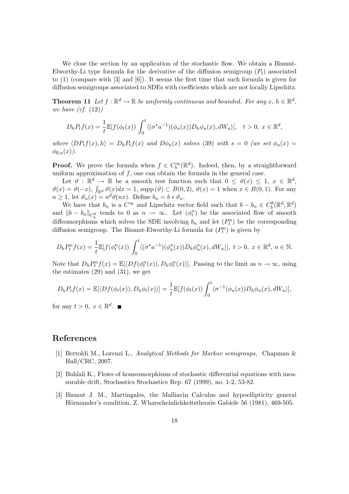We close the section by an application of the stochastic flow. We obtain a Bismut-Elworthy-Li type formula for the derivative of the diffusion semigroup  $(P_t)$  associated to (1) (compare with [3] and [6]). It seems the first time that such formula is given for diffusion semigroups associated to SDEs with coefficients which are not locally Lipschitz.

**Theorem 11** Let  $f : \mathbb{R}^d \to \mathbb{R}$  be uniformly continuous and bounded. For any  $x, h \in \mathbb{R}^d$ , we have  $(cf. (12))$ 

$$
D_h P_t f(x) = \frac{1}{t} \mathbb{E}[f(\phi_t(x)) \int_0^t \langle (\sigma^* a^{-1})(\phi_u(x)) D_h \phi_u(x), dW_u \rangle], \quad t > 0, \ x \in \mathbb{R}^d,
$$

where  $\langle DP_tf(x), h\rangle = D_hP_tf(x)$  and  $D\phi_u(x)$  solves (39) with  $s = 0$  (we set  $\phi_u(x) =$  $\phi_{0,u}(x)$ .

**Proof.** We prove the formula when  $f \in C_b^{\infty}(\mathbb{R}^d)$ . Indeed, then, by a straightforward uniform approximation of  $f$ , one can obtain the formula in the general case.

Let  $\vartheta : \mathbb{R}^d \to \mathbb{R}$  be a smooth test function such that  $0 \leq \vartheta(x) \leq 1, x \in \mathbb{R}^d$ ,  $\vartheta(x) = \vartheta(-x)$ ,  $\int_{\mathbb{R}^d} \vartheta(x) dx = 1$ , supp  $(\vartheta) \subset B(0, 2)$ ,  $\vartheta(x) = 1$  when  $x \in B(0, 1)$ . For any  $n \geq 1$ , let  $\vartheta_n(x) = n^d \vartheta(nx)$ . Define  $b_n = b * \vartheta_n$ .

We have that  $b_n$  is a  $C^{\infty}$  and Lipschitz vector field such that  $b - b_n \in C_b^{\theta}(\mathbb{R}^d; \mathbb{R}^d)$ and  $||b - b_n||_{C_b^{\theta}}$  tends to 0 as  $n \to \infty$ . Let  $(\phi_t^n)$  be the associated flow of smooth diffeomorphisms which solves the SDE involving  $b_n$  and let  $(P_t^n)$  be the corresponding diffusion semigroup. The Bismut-Elworthy-Li formula for  $(P_t^n)$  is given by

$$
D_h P_t^n f(x) = \frac{1}{t} \mathbb{E}[f(\phi_t^n(x)) \int_0^t \langle (\sigma^* a^{-1})(\phi_u^n(x)) D_h \phi_u^n(x), dW_u \rangle], \ t > 0, \ x \in \mathbb{R}^d, \ n \in \mathbb{N}.
$$

Note that  $D_h P_t^n f(x) = \mathbb{E}[\langle Df(\phi_t^n(x)), D_h \phi_t^n(x) \rangle]$ . Passing to the limit as  $n \to \infty$ , using the estimates  $(29)$  and  $(31)$ , we get

$$
D_h P_t f(x) = \mathbb{E}[\langle Df(\phi_t(x)), D_h \phi_t(x) \rangle] = \frac{1}{t} \mathbb{E}[f(\phi_t(x)) \int_0^t \langle \sigma^{-1}(\phi_u(x)) D_h \phi_u(x), dW_u \rangle],
$$

for any  $t > 0, x \in \mathbb{R}^d$ .

## References

- [1] Bertoldi M., Lorenzi L., Analytical Methods for Markov semigroups, Chapman & Hall/CRC, 2007.
- [2] Bahlali K., Flows of homeomorphisms of stochastic differential equations with measurable drift, Stochastics Stochastics Rep. 67 (1999), no. 1-2, 53-82.
- [3] Bismut J. M., Martingales, the Malliavin Calculus and hypoellipticity general Hörmander's condition, Z. Wharscheinlichkeitstheorie Gabiele 56 (1981), 469-505.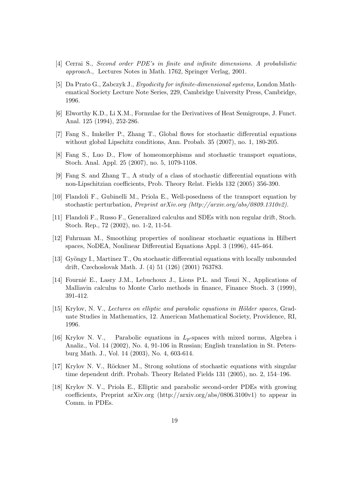- [4] Cerrai S., Second order PDE's in finite and infinite dimensions. A probabilistic approach., Lectures Notes in Math. 1762, Springer Verlag, 2001.
- [5] Da Prato G., Zabczyk J., Ergodicity for infinite-dimensional systems, London Mathematical Society Lecture Note Series, 229, Cambridge University Press, Cambridge, 1996.
- [6] Elworthy K.D., Li X.M., Formulae for the Derivatives of Heat Semigroups, J. Funct. Anal. 125 (1994), 252-286.
- [7] Fang S., Imkeller P., Zhang T., Global flows for stochastic differential equations without global Lipschitz conditions, Ann. Probab. 35 (2007), no. 1, 180-205.
- [8] Fang S., Luo D., Flow of homeomorphisms and stochastic transport equations, Stoch. Anal. Appl. 25 (2007), no. 5, 1079-1108.
- [9] Fang S. and Zhang T., A study of a class of stochastic differential equations with non-Lipschitzian coefficients, Prob. Theory Relat. Fields 132 (2005) 356-390.
- [10] Flandoli F., Gubinelli M., Priola E., Well-posedness of the transport equation by stochastic perturbation, Preprint arXiv.org (http://arxiv.org/abs/0809.1310v2).
- [11] Flandoli F., Russo F., Generalized calculus and SDEs with non regular drift, Stoch. Stoch. Rep., 72 (2002), no. 1-2, 11-54.
- [12] Fuhrman M., Smoothing properties of nonlinear stochastic equations in Hilbert spaces, NoDEA, Nonlinear Differential Equations Appl. 3 (1996), 445-464.
- [13] Gyöngy I., Martinez T., On stochastic differential equations with locally unbounded drift, Czechoslovak Math. J. (4) 51 (126) (2001) 763783.
- [14] Fournie E., Lasry J.M., Lebuchoux J., Lions P.L. and Touzi N., Applications of Malliavin calculus to Monte Carlo methods in finance, Finance Stoch. 3 (1999), 391-412.
- [15] Krylov, N. V., Lectures on elliptic and parabolic equations in Hölder spaces, Graduate Studies in Mathematics, 12. American Mathematical Society, Providence, RI, 1996.
- [16] Krylov N. V., Parabolic equations in  $L_p$ -spaces with mixed norms, Algebra i Analiz., Vol. 14 (2002), No. 4, 91-106 in Russian; English translation in St. Petersburg Math. J., Vol. 14 (2003), No. 4, 603-614.
- [17] Krylov N. V., Röckner M., Strong solutions of stochastic equations with singular time dependent drift. Probab. Theory Related Fields 131 (2005), no. 2, 154–196.
- [18] Krylov N. V., Priola E., Elliptic and parabolic second-order PDEs with growing coefficients, Preprint arXiv.org (http://arxiv.org/abs/0806.3100v1) to appear in Comm. in PDEs.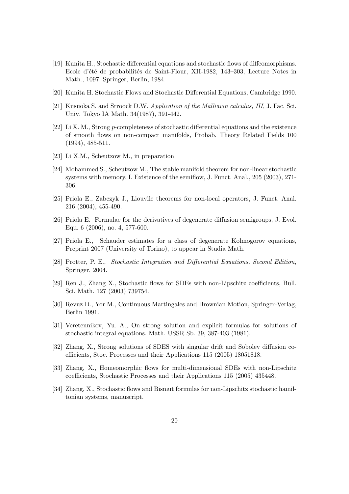- [19] Kunita H., Stochastic differential equations and stochastic flows of diffeomorphisms. Ecole d'été de probabilités de Saint-Flour, XII-1982, 143–303, Lecture Notes in Math., 1097, Springer, Berlin, 1984.
- [20] Kunita H. Stochastic Flows and Stochastic Differential Equations, Cambridge 1990.
- [21] Kusuoka S. and Stroock D.W. Application of the Malliavin calculus, III, J. Fac. Sci. Univ. Tokyo IA Math. 34(1987), 391-442.
- [22] Li X. M., Strong p-completeness of stochastic differential equations and the existence of smooth flows on non-compact manifolds, Probab. Theory Related Fields 100 (1994), 485-511.
- [23] Li X.M., Scheutzow M., in preparation.
- [24] Mohammed S., Scheutzow M., The stable manifold theorem for non-linear stochastic systems with memory. I. Existence of the semiflow, J. Funct. Anal., 205 (2003), 271- 306.
- [25] Priola E., Zabczyk J., Liouvile theorems for non-local operators, J. Funct. Anal. 216 (2004), 455-490.
- [26] Priola E. Formulae for the derivatives of degenerate diffusion semigroups, J. Evol. Equ. 6 (2006), no. 4, 577-600.
- [27] Priola E., Schauder estimates for a class of degenerate Kolmogorov equations, Preprint 2007 (University of Torino), to appear in Studia Math.
- [28] Protter, P. E., Stochastic Integration and Differential Equations, Second Edition, Springer, 2004.
- [29] Ren J., Zhang X., Stochastic flows for SDEs with non-Lipschitz coefficients, Bull. Sci. Math. 127 (2003) 739754.
- [30] Revuz D., Yor M., Continuous Martingales and Brownian Motion, Springer-Verlag, Berlin 1991.
- [31] Veretennikov, Yu. A., On strong solution and explicit formulas for solutions of stochastic integral equations. Math. USSR Sb. 39, 387-403 (1981).
- [32] Zhang, X., Strong solutions of SDES with singular drift and Sobolev diffusion coefficients, Stoc. Processes and their Applications 115 (2005) 18051818.
- [33] Zhang, X., Homeomorphic flows for multi-dimensional SDEs with non-Lipschitz coefficients, Stochastic Processes and their Applications 115 (2005) 435448.
- [34] Zhang, X., Stochastic flows and Bismut formulas for non-Lipschitz stochastic hamiltonian systems, manuscript.